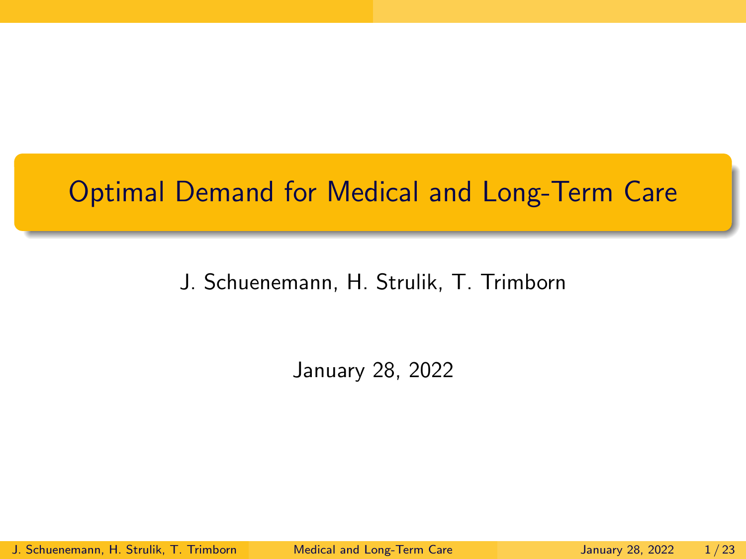# <span id="page-0-0"></span>Optimal Demand for Medical and Long-Term Care

J. Schuenemann, H. Strulik, T. Trimborn

January 28, 2022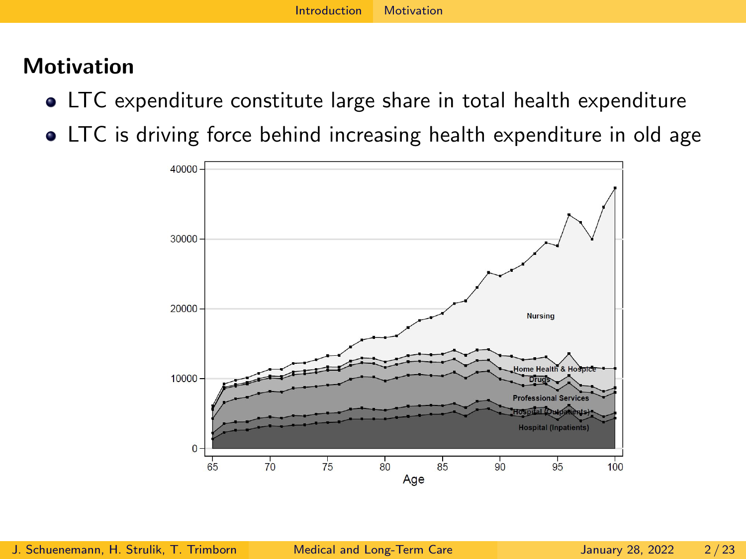#### <span id="page-1-0"></span>**Motivation**

- LTC expenditure constitute large share in total health expenditure
- LTC is driving force behind increasing health expenditure in old age

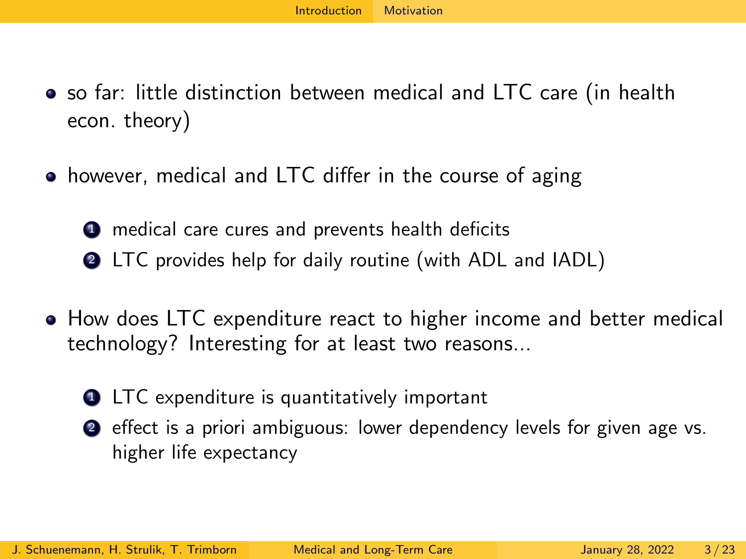- so far: little distinction between medical and LTC care (in health econ. theory)
- however, medical and LTC differ in the course of aging
	- **1** medical care cures and prevents health deficits
	- <sup>2</sup> LTC provides help for daily routine (with ADL and IADL)
- How does LTC expenditure react to higher income and better medical technology? Interesting for at least two reasons...
	- **1 LTC** expenditure is quantitatively important
	- <sup>2</sup> effect is a priori ambiguous: lower dependency levels for given age vs. higher life expectancy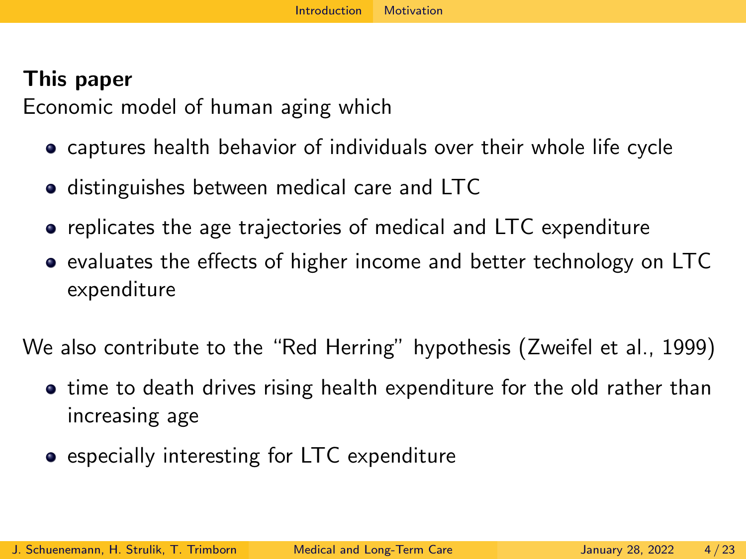### This paper

Economic model of human aging which

- captures health behavior of individuals over their whole life cycle
- **o** distinguishes between medical care and LTC
- **•** replicates the age trajectories of medical and LTC expenditure
- evaluates the effects of higher income and better technology on LTC expenditure

We also contribute to the "Red Herring" hypothesis (Zweifel et al., 1999)

- time to death drives rising health expenditure for the old rather than increasing age
- **•** especially interesting for LTC expenditure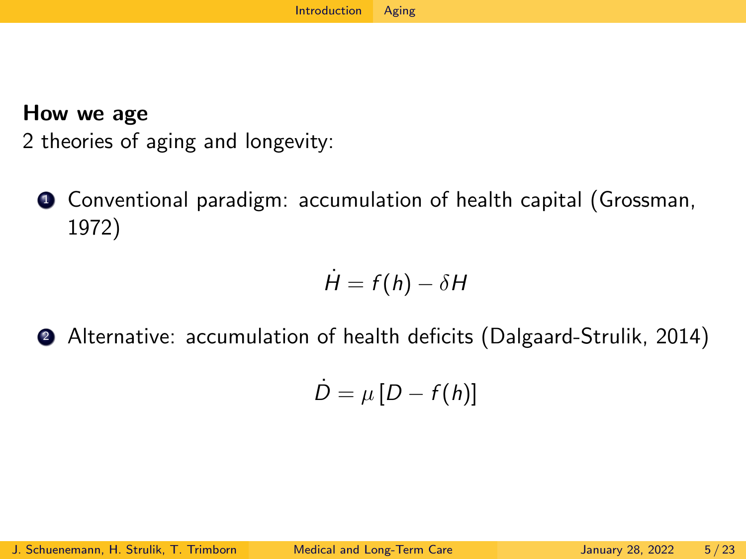# <span id="page-4-0"></span>How we age 2 theories of aging and longevity:

<sup>1</sup> Conventional paradigm: accumulation of health capital (Grossman, 1972)

$$
\dot{H}=f(h)-\delta H
$$

<sup>2</sup> Alternative: accumulation of health deficits (Dalgaard-Strulik, 2014)

 $\dot{D} = \mu [D - f(h)]$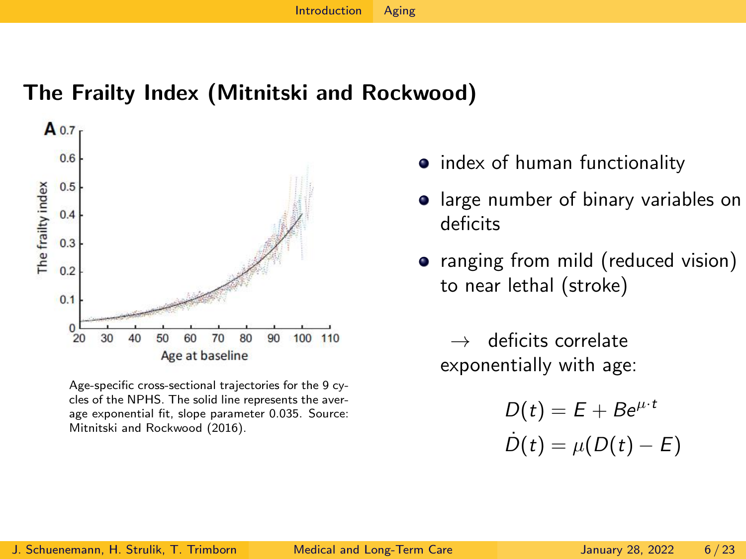# The Frailty Index (Mitnitski and Rockwood)



Age-specific cross-sectional trajectories for the 9 cycles of the NPHS. The solid line represents the average exponential fit, slope parameter 0.035. Source: Mitnitski and Rockwood (2016).

- index of human functionality
- large number of binary variables on deficits
- ranging from mild (reduced vision) to near lethal (stroke)

deficits correlate exponentially with age:

> $D(t) = E + Be^{\mu \cdot t}$  $\dot{D}(t) = \mu(D(t) - E)$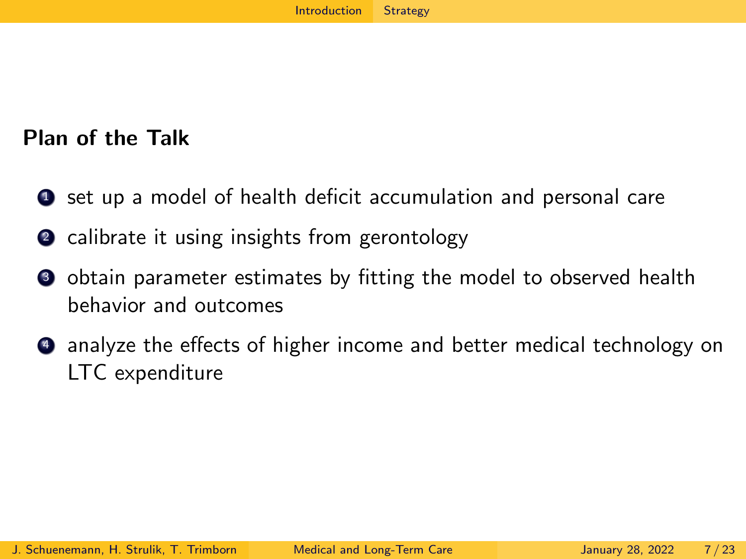## <span id="page-6-0"></span>Plan of the Talk

- <sup>1</sup> set up a model of health deficit accumulation and personal care
- **2** calibrate it using insights from gerontology
- <sup>3</sup> obtain parameter estimates by fitting the model to observed health behavior and outcomes
- **4** analyze the effects of higher income and better medical technology on LTC expenditure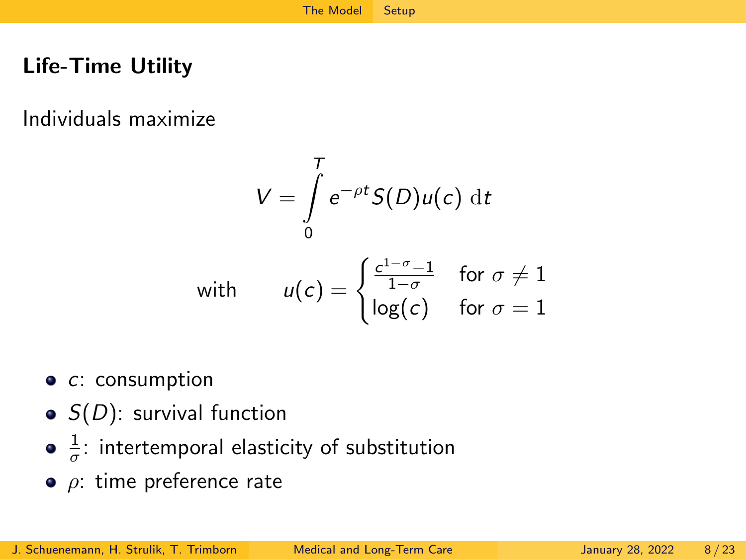## <span id="page-7-0"></span>Life-Time Utility

Individuals maximize

$$
V = \int_{0}^{T} e^{-\rho t} S(D) u(c) dt
$$
  
with 
$$
u(c) = \begin{cases} \frac{c^{1-\sigma}-1}{1-\sigma} & \text{for } \sigma \neq 1 \\ \log(c) & \text{for } \sigma = 1 \end{cases}
$$

- $\bullet$   $\epsilon$ : consumption
- $\bullet$   $S(D)$ : survival function
- 1  $\frac{1}{\sigma}$ : intertemporal elasticity of substitution
- $\bullet$   $\rho$ : time preference rate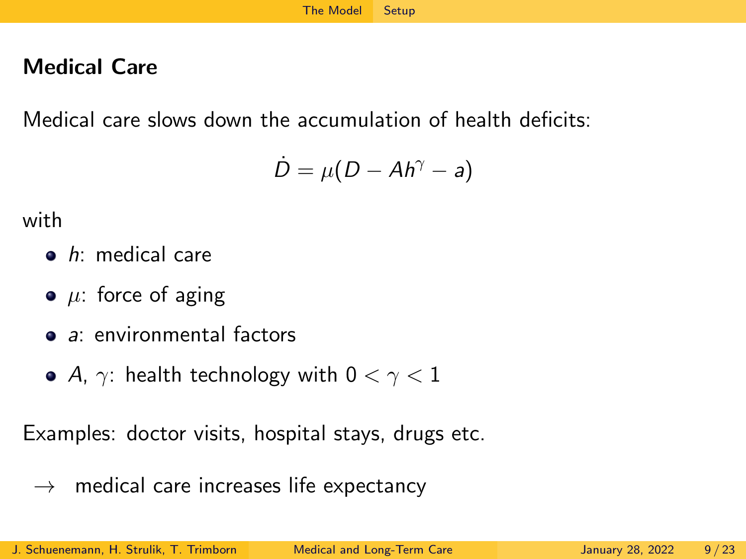### Medical Care

Medical care slows down the accumulation of health deficits:

$$
\dot{D} = \mu(D - Ah^{\gamma} - a)
$$

with

- $\bullet$  h: medical care
- $\bullet$   $\mu$ : force of aging
- a: environmental factors
- A,  $\gamma$ : health technology with  $0 < \gamma < 1$

Examples: doctor visits, hospital stays, drugs etc.

 $\rightarrow$  medical care increases life expectancy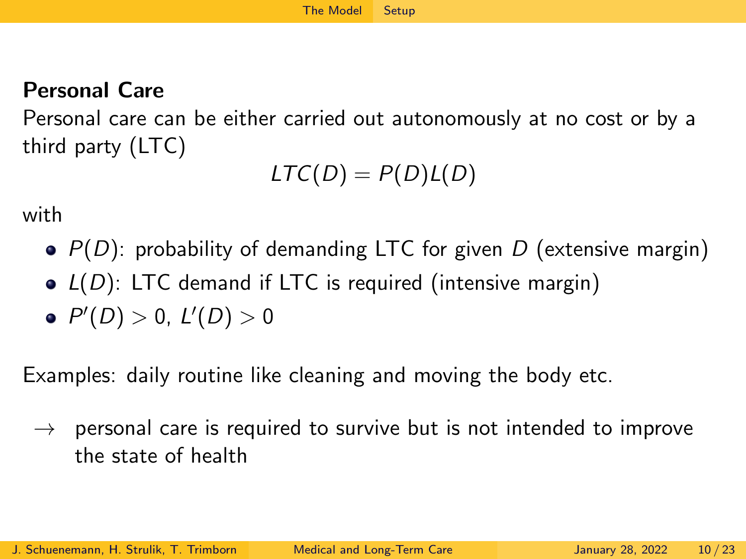# Personal Care

Personal care can be either carried out autonomously at no cost or by a third party (LTC)

$$
LTC(D) = P(D)L(D)
$$

with

- $\bullet$   $P(D)$ : probability of demanding LTC for given D (extensive margin)
- $\bullet$   $L(D)$ : LTC demand if LTC is required (intensive margin)
- $P'(D) > 0, L'(D) > 0$

Examples: daily routine like cleaning and moving the body etc.

 $\rightarrow$  personal care is required to survive but is not intended to improve the state of health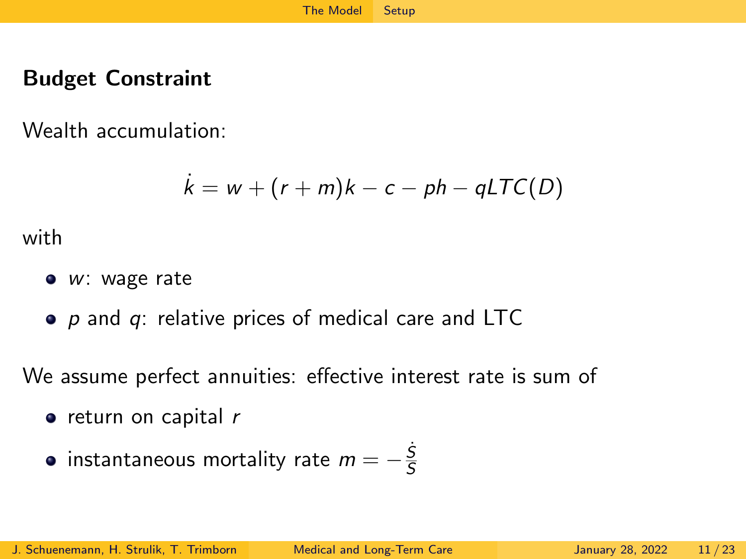#### Budget Constraint

Wealth accumulation:

$$
\dot{k} = w + (r + m)k - c - ph - qLTC(D)
$$

with

- *w*: wage rate
- $\bullet$  p and q: relative prices of medical care and LTC

We assume perfect annuities: effective interest rate is sum of

- $\bullet$  return on capital r
- instantaneous mortality rate  $m=-\frac{\dot S}{\overline S}$ S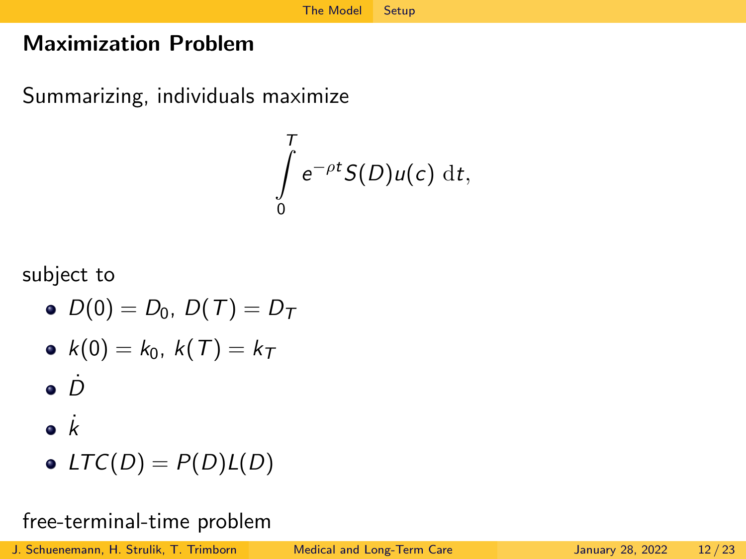#### Maximization Problem

Summarizing, individuals maximize

$$
\int\limits_{0}^{T}e^{-\rho t}S(D)u(c)\;{\rm d}t,
$$

subject to

 $D(0) = D_0$ ,  $D(T) = D_T$ 

$$
\bullet \ \ k(0)=k_0, \ k(\mathcal{T})=k_{\mathcal{T}}
$$

 $\bullet$  D

˙k

•  $LTC(D) = P(D)L(D)$ 

#### free-terminal-time problem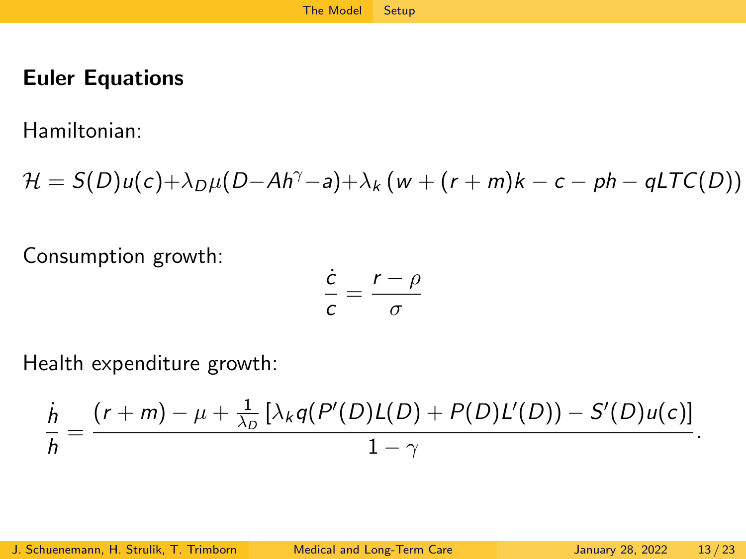#### Euler Equations

Hamiltonian:

 $\mathcal{H} = S(D)u(c)+\lambda_D\mu(D-Ah^{\gamma}-a)+\lambda_k(w+(r+m)k-c-ph-qLTC(D))$ 

Consumption growth:

$$
\frac{\dot{c}}{c} = \frac{r - \rho}{\sigma}
$$

Health expenditure growth:

$$
\frac{\dot{h}}{h} = \frac{(r+m)-\mu+\frac{1}{\lambda_D}\left[\lambda_k q(P'(D)L(D)+P(D)L'(D))-S'(D)u(c)\right]}{1-\gamma}.
$$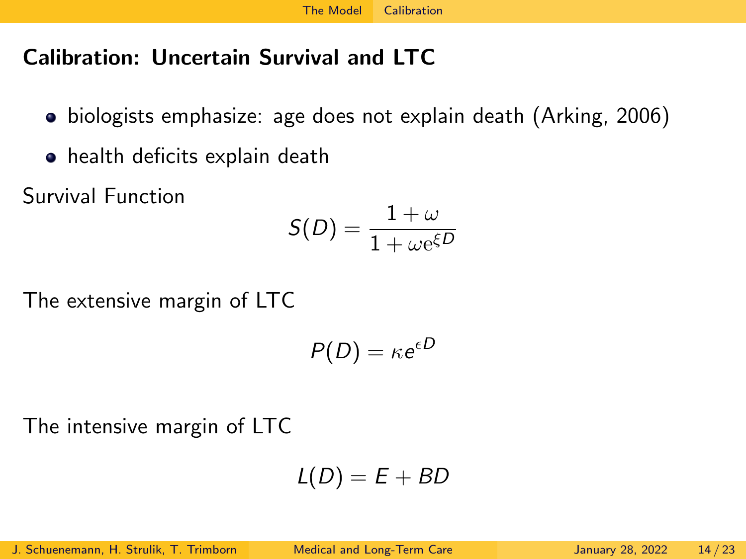# <span id="page-13-0"></span>Calibration: Uncertain Survival and LTC

- biologists emphasize: age does not explain death (Arking, 2006)
- health deficits explain death

Survival Function

$$
\mathcal{S}(D) = \frac{1+\omega}{1+\omega\mathrm{e}^{\xi D}}
$$

The extensive margin of LTC

$$
P(D)=\kappa e^{\epsilon D}
$$

The intensive margin of LTC

$$
L(D)=E+BD
$$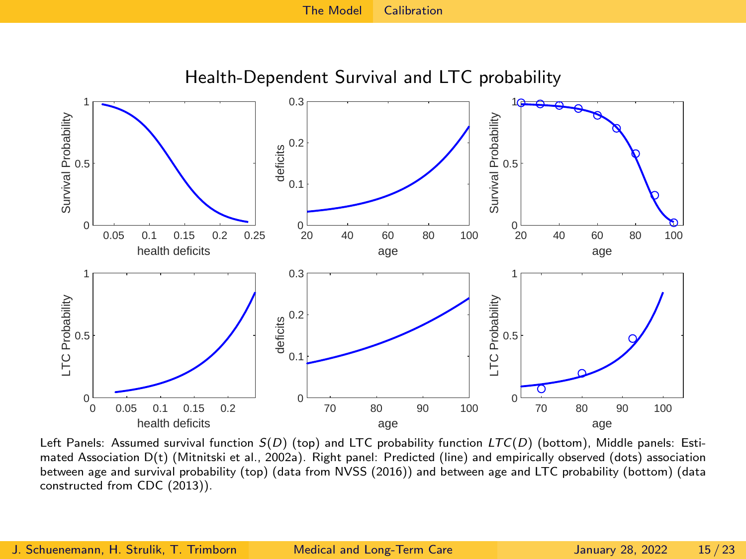

health deficits age age Left Panels: Assumed survival function  $S(D)$  (top) and LTC probability function  $LTC(D)$  (bottom), Middle panels: Estimated Association D(t) (Mitnitski et al., 2002a). Right panel: Predicted (line) and empirically observed (dots) association between age and survival probability (top) (data from NVSS (2016)) and between age and LTC probability (bottom) (data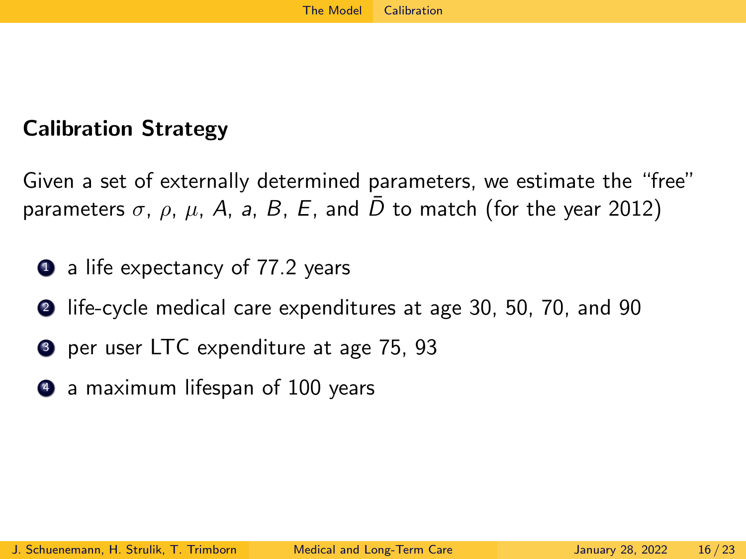# Calibration Strategy

Given a set of externally determined parameters, we estimate the "free" parameters  $\sigma$ ,  $\rho$ ,  $\mu$ , A, a, B, E, and  $\bar{D}$  to match (for the year 2012)

- $\bullet$  a life expectancy of 77.2 years
- <sup>2</sup> life-cycle medical care expenditures at age 30, 50, 70, and 90
- **3** per user LTC expenditure at age 75, 93
- <sup>4</sup> a maximum lifespan of 100 years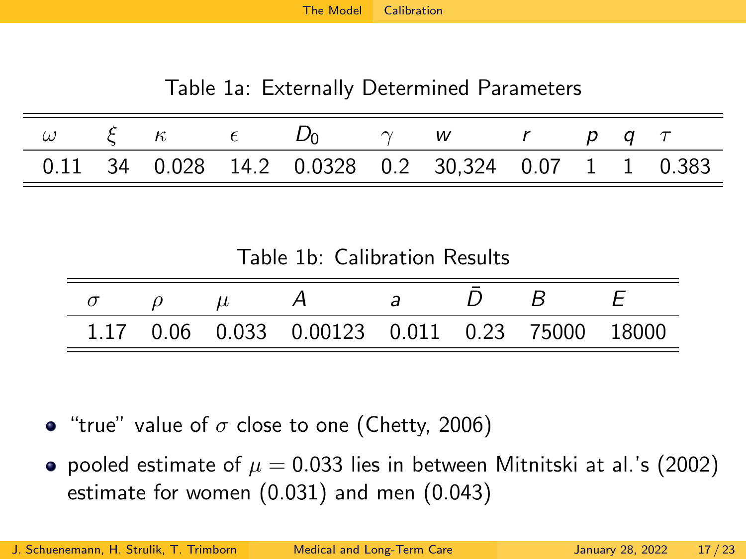Table 1a: Externally Determined Parameters

|  |  |  | $\omega$ { $\kappa$ $\epsilon$ $D_0$ $\gamma$ $w$ $r$ $p$ $q$ $\tau$ |  |  |
|--|--|--|----------------------------------------------------------------------|--|--|
|  |  |  | 0.11 34 0.028 14.2 0.0328 0.2 30,324 0.07 1 1 0.383                  |  |  |

Table 1b: Calibration Results

|  | 1.17  0.06  0.033  0.00123  0.011  0.23  75000  18000 |  |  |
|--|-------------------------------------------------------|--|--|

- "true" value of  $\sigma$  close to one (Chetty, 2006)
- pooled estimate of  $\mu = 0.033$  lies in between Mitnitski at al.'s (2002) estimate for women (0.031) and men (0.043)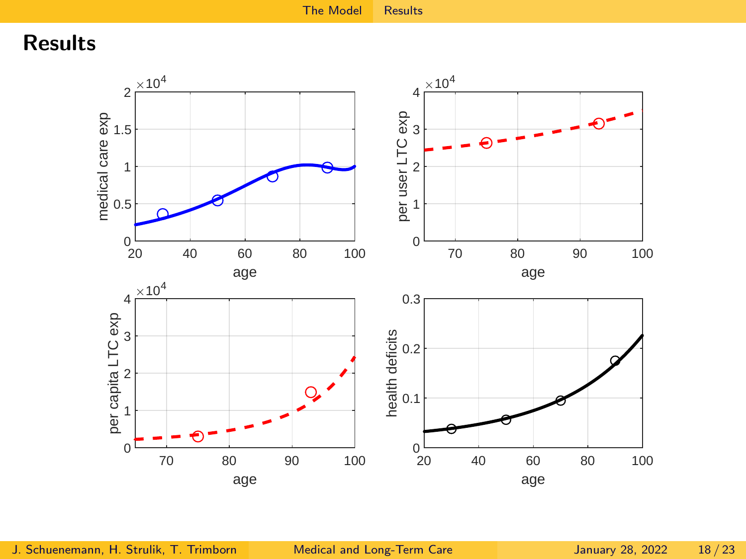### <span id="page-17-0"></span>Results

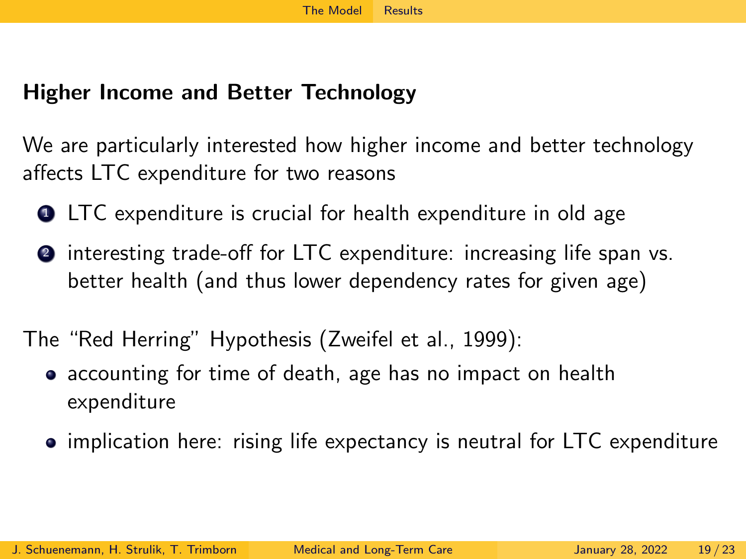# Higher Income and Better Technology

We are particularly interested how higher income and better technology affects LTC expenditure for two reasons

- **1 LTC** expenditure is crucial for health expenditure in old age
- <sup>2</sup> interesting trade-off for LTC expenditure: increasing life span vs. better health (and thus lower dependency rates for given age)

The "Red Herring" Hypothesis (Zweifel et al., 1999):

- accounting for time of death, age has no impact on health expenditure
- implication here: rising life expectancy is neutral for LTC expenditure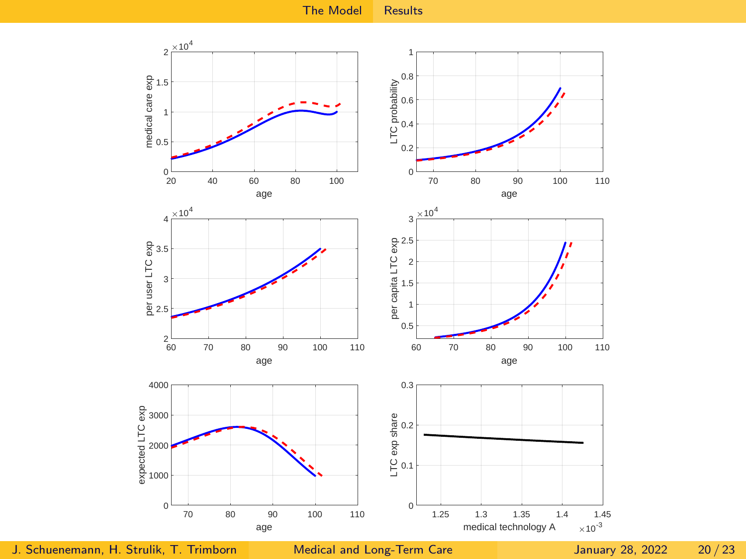[The Model](#page-7-0) [Results](#page-17-0)



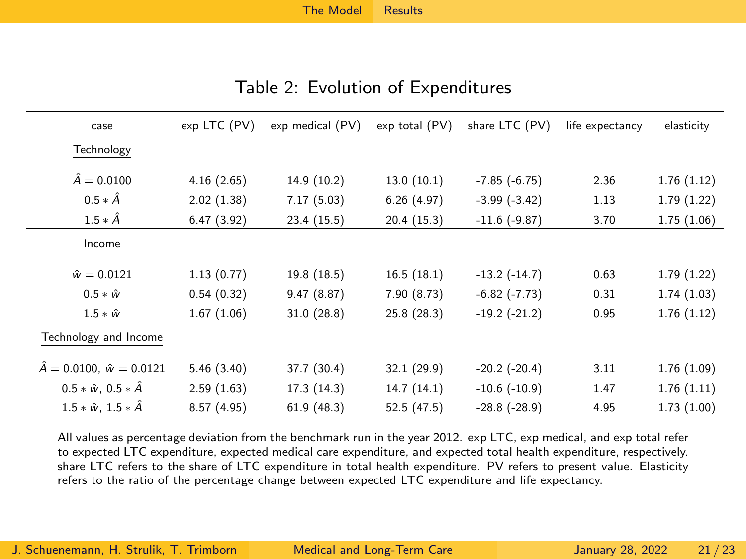| case                                     | exp LTC (PV) | exp medical (PV) | exp total (PV) | share LTC (PV)      | life expectancy | elasticity |
|------------------------------------------|--------------|------------------|----------------|---------------------|-----------------|------------|
| Technology                               |              |                  |                |                     |                 |            |
| $\hat{A} = 0.0100$                       | 4.16(2.65)   | 14.9 (10.2)      | 13.0(10.1)     | $-7.85(-6.75)$      | 2.36            | 1.76(1.12) |
| $0.5 * \hat{A}$                          | 2.02(1.38)   | 7.17(5.03)       | 6.26(4.97)     | $-3.99(-3.42)$      | 1.13            | 1.79(1.22) |
| $1.5 \times \hat{A}$                     | 6.47(3.92)   | 23.4(15.5)       | 20.4(15.3)     | $-11.6$ ( $-9.87$ ) | 3.70            | 1.75(1.06) |
| Income                                   |              |                  |                |                     |                 |            |
| $\hat{w} = 0.0121$                       | 1.13(0.77)   | 19.8(18.5)       | 16.5(18.1)     | $-13.2$ $(-14.7)$   | 0.63            | 1.79(1.22) |
| $0.5 * \hat{w}$                          | 0.54(0.32)   | 9.47(8.87)       | 7.90 (8.73)    | $-6.82$ $(-7.73)$   | 0.31            | 1.74(1.03) |
| $1.5*\hat{w}$                            | 1.67(1.06)   | 31.0(28.8)       | 25.8(28.3)     | $-19.2$ $(-21.2)$   | 0.95            | 1.76(1.12) |
| Technology and Income                    |              |                  |                |                     |                 |            |
| $\ddot{A} = 0.0100$ , $\hat{w} = 0.0121$ | 5.46(3.40)   | 37.7 (30.4)      | 32.1 (29.9)    | $-20.2$ $(-20.4)$   | 3.11            | 1.76(1.09) |
| $0.5 * \hat{w}$ , $0.5 * \hat{A}$        | 2.59(1.63)   | 17.3(14.3)       | 14.7(14.1)     | $-10.6$ $(-10.9)$   | 1.47            | 1.76(1.11) |
| $1.5 * \hat{w}$ , $1.5 * \hat{A}$        | 8.57(4.95)   | 61.9(48.3)       | 52.5 (47.5)    | $-28.8$ $(-28.9)$   | 4.95            | 1.73(1.00) |

Table 2: Evolution of Expenditures

All values as percentage deviation from the benchmark run in the year 2012. exp LTC, exp medical, and exp total refer to expected LTC expenditure, expected medical care expenditure, and expected total health expenditure, respectively. share LTC refers to the share of LTC expenditure in total health expenditure. PV refers to present value. Elasticity refers to the ratio of the percentage change between expected LTC expenditure and life expectancy.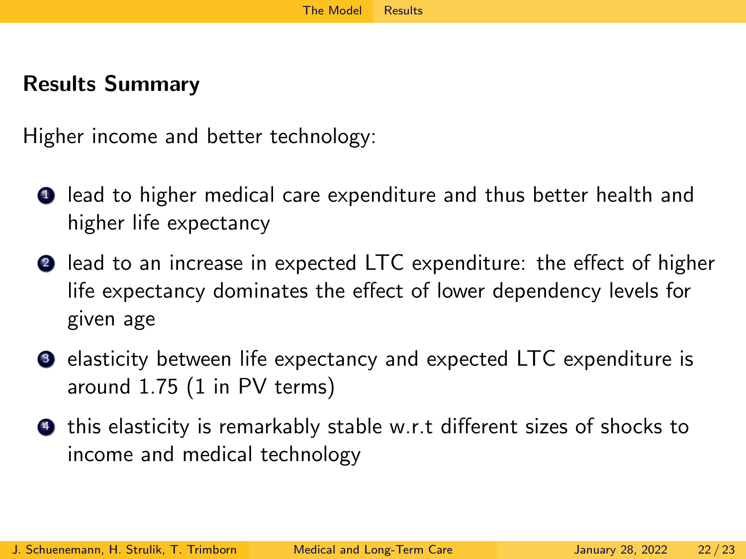## Results Summary

Higher income and better technology:

- **1** lead to higher medical care expenditure and thus better health and higher life expectancy
- <sup>2</sup> lead to an increase in expected LTC expenditure: the effect of higher life expectancy dominates the effect of lower dependency levels for given age
- <sup>3</sup> elasticity between life expectancy and expected LTC expenditure is around 1.75 (1 in PV terms)
- <sup>4</sup> this elasticity is remarkably stable w.r.t different sizes of shocks to income and medical technology